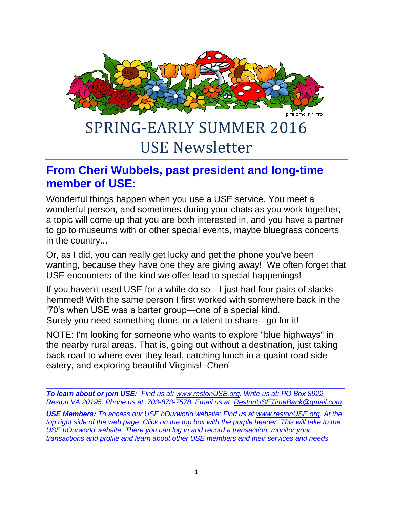

### SPRING-EARLY SUMMER 2016 USE Newsletter

#### **From Cheri Wubbels, past president and long-time member of USE:**

Wonderful things happen when you use a USE service. You meet a wonderful person, and sometimes during your chats as you work together, a topic will come up that you are both interested in, and you have a partner to go to museums with or other special events, maybe bluegrass concerts in the country...

Or, as I did, you can really get lucky and get the phone you've been wanting, because they have one they are giving away! We often forget that USE encounters of the kind we offer lead to special happenings!

If you haven't used USE for a while do so—I just had four pairs of slacks hemmed! With the same person I first worked with somewhere back in the '70's when USE was a barter group—one of a special kind. Surely you need something done, or a talent to share—go for it!

NOTE: I'm looking for someone who wants to explore "blue highways" in the nearby rural areas. That is, going out without a destination, just taking back road to where ever they lead, catching lunch in a quaint road side eatery, and exploring beautiful Virginia! *-Cheri*

\_\_\_\_\_\_\_\_\_\_\_\_\_\_\_\_\_\_\_\_\_\_\_\_\_\_\_\_\_\_\_\_\_\_\_\_\_\_\_\_\_\_\_\_\_\_\_\_\_\_\_\_\_\_\_\_\_\_\_\_\_\_\_\_\_\_\_\_\_\_\_\_\_\_\_\_\_\_\_\_\_\_\_\_\_ *To learn about or join USE: Find us at: [www.restonUSE.org.](http://www.restonuse.org/) Write us at: PO Box 8922, Reston VA 20195. Phone us at: 703-873-7578. Email us at: [RestonUSETimeBank@gmail.com.](mailto:RestonUSETimeBank@gmail.com)*

*USE Members: To access our USE hOurworld website: Find us at [www.restonUSE.org.](http://www.restonuse.org/) At the top right side of the web page: Click on the top box with the purple header. This will take to the USE hOurworld website. There you can log in and record a transaction, monitor your transactions and profile and learn about other USE members and their services and needs.*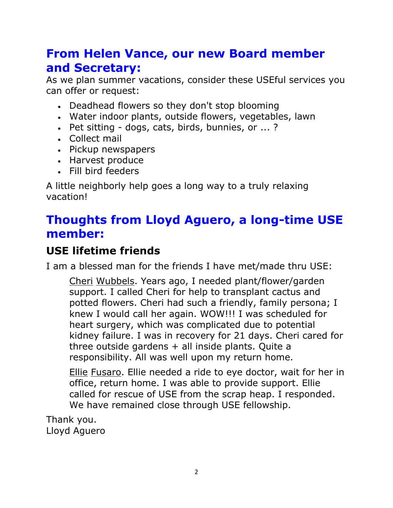#### **From Helen Vance, our new Board member and Secretary:**

As we plan summer vacations, consider these USEful services you can offer or request:

- Deadhead flowers so they don't stop blooming
- Water indoor plants, outside flowers, vegetables, lawn
- Pet sitting dogs, cats, birds, bunnies, or ... ?
- Collect mail
- Pickup newspapers
- Harvest produce
- Fill bird feeders

A little neighborly help goes a long way to a truly relaxing vacation!

#### **Thoughts from Lloyd Aguero, a long-time USE member:**

#### **USE lifetime friends**

I am a blessed man for the friends I have met/made thru USE:

Cheri Wubbels. Years ago, I needed plant/flower/garden support. I called Cheri for help to transplant cactus and potted flowers. Cheri had such a friendly, family persona; I knew I would call her again. WOW!!! I was scheduled for heart surgery, which was complicated due to potential kidney failure. I was in recovery for 21 days. Cheri cared for three outside gardens  $+$  all inside plants. Quite a responsibility. All was well upon my return home.

Ellie Fusaro. Ellie needed a ride to eye doctor, wait for her in office, return home. I was able to provide support. Ellie called for rescue of USE from the scrap heap. I responded. We have remained close through USE fellowship.

Thank you. Lloyd Aguero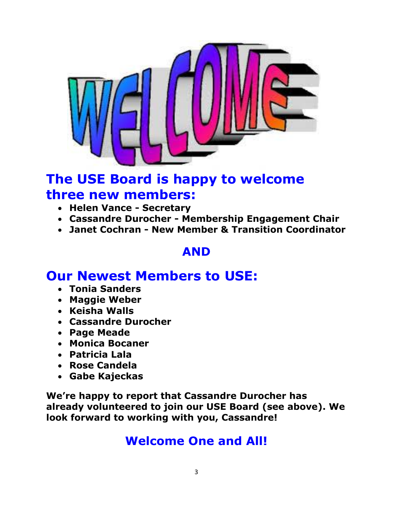

#### **The USE Board is happy to welcome three new members:**

- **Helen Vance - Secretary**
- **Cassandre Durocher - Membership Engagement Chair**
- **Janet Cochran - New Member & Transition Coordinator**

#### **AND**

#### **Our Newest Members to USE:**

- **Tonia Sanders**
- **Maggie Weber**
- **Keisha Walls**
- **Cassandre Durocher**
- **Page Meade**
- **Monica Bocaner**
- **Patricia Lala**
- **Rose Candela**
- **Gabe Kajeckas**

**We're happy to report that Cassandre Durocher has already volunteered to join our USE Board (see above). We look forward to working with you, Cassandre!**

#### **Welcome One and All!**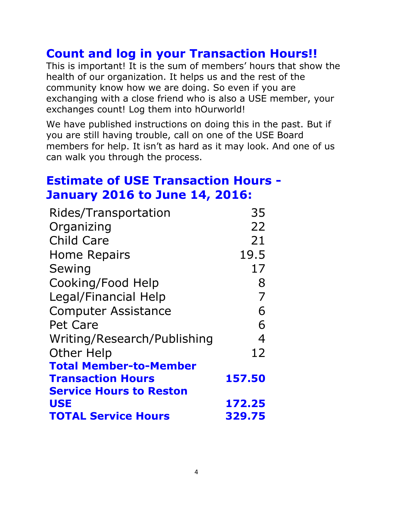#### **Count and log in your Transaction Hours!!**

This is important! It is the sum of members' hours that show the health of our organization. It helps us and the rest of the community know how we are doing. So even if you are exchanging with a close friend who is also a USE member, your exchanges count! Log them into hOurworld!

We have published instructions on doing this in the past. But if you are still having trouble, call on one of the USE Board members for help. It isn't as hard as it may look. And one of us can walk you through the process.

#### **Estimate of USE Transaction Hours - January 2016 to June 14, 2016:**

| Rides/Transportation           | 35             |
|--------------------------------|----------------|
| Organizing                     | 22             |
| <b>Child Care</b>              | 21             |
| <b>Home Repairs</b>            | 19.5           |
| Sewing                         | 17             |
| Cooking/Food Help              | 8              |
| Legal/Financial Help           | $\overline{7}$ |
| <b>Computer Assistance</b>     | 6              |
| Pet Care                       | 6              |
| Writing/Research/Publishing    | 4              |
| <b>Other Help</b>              | 12             |
| <b>Total Member-to-Member</b>  |                |
| <b>Transaction Hours</b>       | 157.50         |
| <b>Service Hours to Reston</b> |                |
| <b>USE</b>                     | 172.25         |
| <b>TOTAL Service Hours</b>     | 329.75         |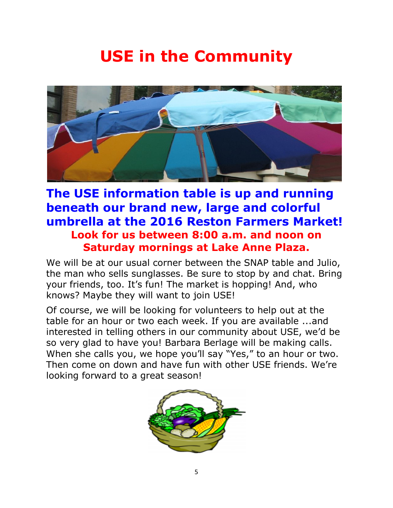## **USE in the Community**



#### **The USE information table is up and running beneath our brand new, large and colorful umbrella at the 2016 Reston Farmers Market! Look for us between 8:00 a.m. and noon on Saturday mornings at Lake Anne Plaza.**

We will be at our usual corner between the SNAP table and Julio, the man who sells sunglasses. Be sure to stop by and chat. Bring your friends, too. It's fun! The market is hopping! And, who knows? Maybe they will want to join USE!

Of course, we will be looking for volunteers to help out at the table for an hour or two each week. If you are available ...and interested in telling others in our community about USE, we'd be so very glad to have you! Barbara Berlage will be making calls. When she calls you, we hope you'll say "Yes," to an hour or two. Then come on down and have fun with other USE friends. We're looking forward to a great season!

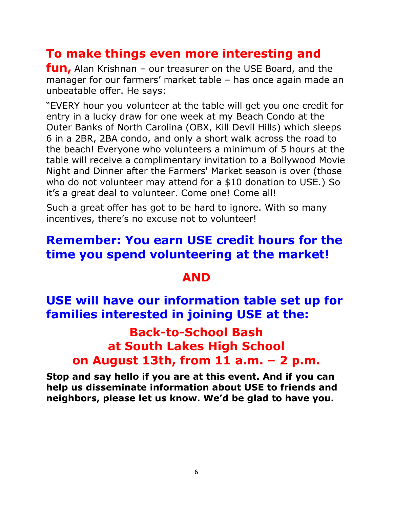#### **To make things even more interesting and**

**fun,** Alan Krishnan – our treasurer on the USE Board, and the manager for our farmers' market table – has once again made an unbeatable offer. He says:

"EVERY hour you volunteer at the table will get you one credit for entry in a lucky draw for one week at my Beach Condo at the Outer Banks of North Carolina (OBX, Kill Devil Hills) which sleeps 6 in a 2BR, 2BA condo, and only a short walk across the road to the beach! Everyone who volunteers a minimum of 5 hours at the table will receive a complimentary invitation to a Bollywood Movie Night and Dinner after the Farmers' Market season is over (those who do not volunteer may attend for a \$10 donation to USE.) So it's a great deal to volunteer. Come one! Come all!

Such a great offer has got to be hard to ignore. With so many incentives, there's no excuse not to volunteer!

#### **Remember: You earn USE credit hours for the time you spend volunteering at the market!**

#### **AND**

#### **USE will have our information table set up for families interested in joining USE at the:**

#### **Back-to-School Bash at South Lakes High School on August 13th, from 11 a.m. – 2 p.m.**

**Stop and say hello if you are at this event. And if you can help us disseminate information about USE to friends and neighbors, please let us know. We'd be glad to have you.**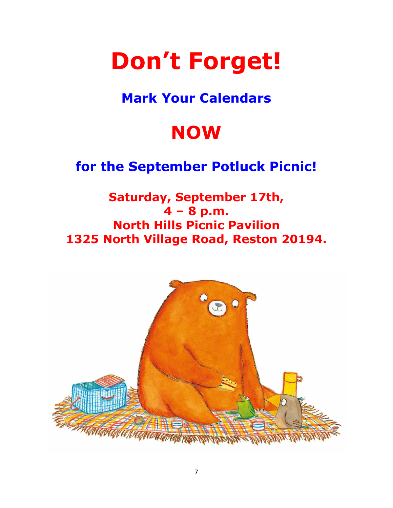# **Don't Forget!**

#### **Mark Your Calendars**

## **NOW**

#### **for the September Potluck Picnic!**

**Saturday, September 17th, 4 – 8 p.m. North Hills Picnic Pavilion 1325 North Village Road, Reston 20194.**

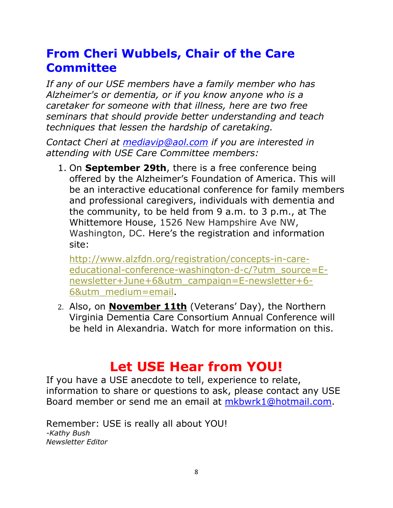#### **From Cheri Wubbels, Chair of the Care Committee**

*If any of our USE members have a family member who has Alzheimer's or dementia, or if you know anyone who is a caretaker for someone with that illness, here are two free seminars that should provide better understanding and teach techniques that lessen the hardship of caretaking.*

*Contact Cheri at [mediavip@aol.com](mailto:mediavip@aol.com) if you are interested in attending with USE Care Committee members:*

1. On **September 29th**, there is a free conference being offered by the Alzheimer's Foundation of America. This will be an interactive educational conference for family members and professional caregivers, individuals with dementia and the community, to be held from 9 a.m. to 3 p.m., at The Whittemore House, 1526 New Hampshire Ave NW, Washington, DC. Here's the registration and information site:

[http://www.alzfdn.org/registration/concepts-in-care](http://www.alzfdn.org/registration/concepts-in-care-educational-conference-washington-d-c/?utm_source=E-newsletter+June+6&utm_campaign=E-newsletter+6-6&utm_medium=email)[educational-conference-washington-d-c/?utm\\_source=E](http://www.alzfdn.org/registration/concepts-in-care-educational-conference-washington-d-c/?utm_source=E-newsletter+June+6&utm_campaign=E-newsletter+6-6&utm_medium=email)[newsletter+June+6&utm\\_campaign=E-newsletter+6-](http://www.alzfdn.org/registration/concepts-in-care-educational-conference-washington-d-c/?utm_source=E-newsletter+June+6&utm_campaign=E-newsletter+6-6&utm_medium=email) [6&utm\\_medium=email.](http://www.alzfdn.org/registration/concepts-in-care-educational-conference-washington-d-c/?utm_source=E-newsletter+June+6&utm_campaign=E-newsletter+6-6&utm_medium=email)

2. Also, on **November 11th** (Veterans' Day), the Northern Virginia Dementia Care Consortium Annual Conference will be held in Alexandria. Watch for more information on this.

#### **Let USE Hear from YOU!**

If you have a USE anecdote to tell, experience to relate, information to share or questions to ask, please contact any USE Board member or send me an email at [mkbwrk1@hotmail.com.](mailto:mkbwrk1@hotmail.com)

Remember: USE is really all about YOU! *-Kathy Bush Newsletter Editor*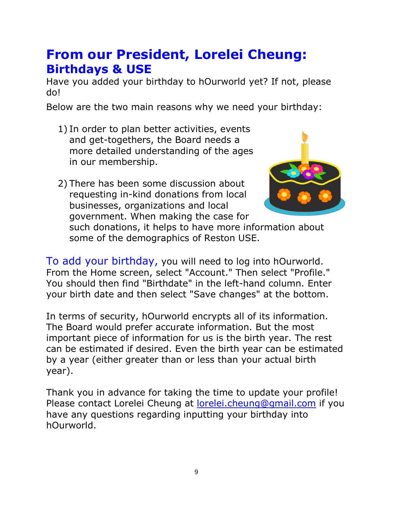#### **From our President, Lorelei Cheung: Birthdays & USE**

Have you added your birthday to hOurworld yet? If not, please do!

Below are the two main reasons why we need your birthday:

- 1) In order to plan better activities, events and get-togethers, the Board needs a more detailed understanding of the ages in our membership.
- 2) There has been some discussion about requesting in-kind donations from local businesses, organizations and local government. When making the case for



such donations, it helps to have more information about some of the demographics of Reston USE.

To add your birthday, you will need to log into hOurworld. From the Home screen, select "Account." Then select "Profile." You should then find "Birthdate" in the left-hand column. Enter your birth date and then select "Save changes" at the bottom.

In terms of security, hOurworld encrypts all of its information. The Board would prefer accurate information. But the most important piece of information for us is the birth year. The rest can be estimated if desired. Even the birth year can be estimated by a year (either greater than or less than your actual birth year).

Thank you in advance for taking the time to update your profile! Please contact Lorelei Cheung at [lorelei.cheung@gmail.com](mailto:lorelei.cheung@gmail.com) if you have any questions regarding inputting your birthday into hOurworld.